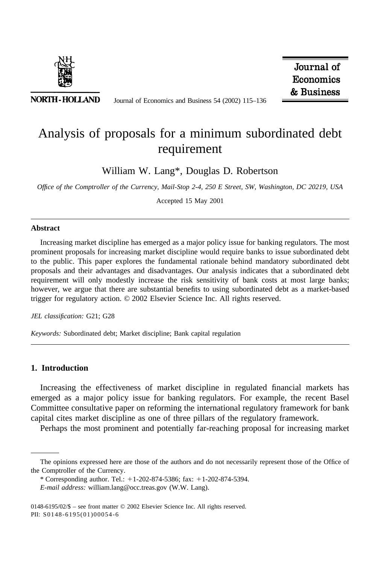

**NORTH-HOLLAND** 

Journal of Economics and Business 54 (2002) 115–136

Journal of Economics & Business

## Analysis of proposals for a minimum subordinated debt requirement

William W. Lang\*, Douglas D. Robertson

*Office of the Comptroller of the Currency, Mail-Stop 2-4, 250 E Street, SW, Washington, DC 20219, USA*

Accepted 15 May 2001

## **Abstract**

Increasing market discipline has emerged as a major policy issue for banking regulators. The most prominent proposals for increasing market discipline would require banks to issue subordinated debt to the public. This paper explores the fundamental rationale behind mandatory subordinated debt proposals and their advantages and disadvantages. Our analysis indicates that a subordinated debt requirement will only modestly increase the risk sensitivity of bank costs at most large banks; however, we argue that there are substantial benefits to using subordinated debt as a market-based trigger for regulatory action. © 2002 Elsevier Science Inc. All rights reserved.

*JEL classification:* G21; G28

*Keywords:* Subordinated debt; Market discipline; Bank capital regulation

## **1. Introduction**

Increasing the effectiveness of market discipline in regulated financial markets has emerged as a major policy issue for banking regulators. For example, the recent Basel Committee consultative paper on reforming the international regulatory framework for bank capital cites market discipline as one of three pillars of the regulatory framework.

Perhaps the most prominent and potentially far-reaching proposal for increasing market

The opinions expressed here are those of the authors and do not necessarily represent those of the Office of the Comptroller of the Currency.

<sup>\*</sup> Corresponding author. Tel.:  $+1-202-874-5386$ ; fax:  $+1-202-874-5394$ .

*E-mail address:* william.lang@occ.treas.gov (W.W. Lang).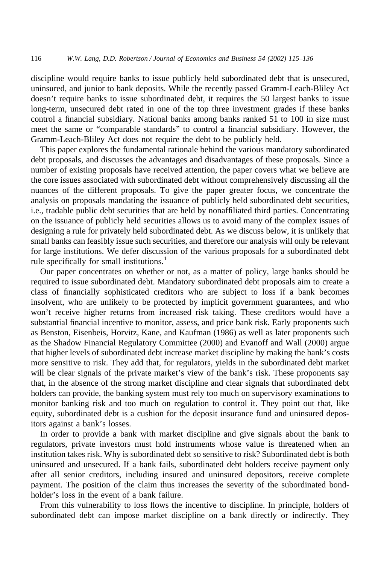discipline would require banks to issue publicly held subordinated debt that is unsecured, uninsured, and junior to bank deposits. While the recently passed Gramm-Leach-Bliley Act doesn't require banks to issue subordinated debt, it requires the 50 largest banks to issue long-term, unsecured debt rated in one of the top three investment grades if these banks control a financial subsidiary. National banks among banks ranked 51 to 100 in size must meet the same or "comparable standards" to control a financial subsidiary. However, the Gramm-Leach-Bliley Act does not require the debt to be publicly held.

This paper explores the fundamental rationale behind the various mandatory subordinated debt proposals, and discusses the advantages and disadvantages of these proposals. Since a number of existing proposals have received attention, the paper covers what we believe are the core issues associated with subordinated debt without comprehensively discussing all the nuances of the different proposals. To give the paper greater focus, we concentrate the analysis on proposals mandating the issuance of publicly held subordinated debt securities, i.e., tradable public debt securities that are held by nonaffiliated third parties. Concentrating on the issuance of publicly held securities allows us to avoid many of the complex issues of designing a rule for privately held subordinated debt. As we discuss below, it is unlikely that small banks can feasibly issue such securities, and therefore our analysis will only be relevant for large institutions. We defer discussion of the various proposals for a subordinated debt rule specifically for small institutions.<sup>1</sup>

Our paper concentrates on whether or not, as a matter of policy, large banks should be required to issue subordinated debt. Mandatory subordinated debt proposals aim to create a class of financially sophisticated creditors who are subject to loss if a bank becomes insolvent, who are unlikely to be protected by implicit government guarantees, and who won't receive higher returns from increased risk taking. These creditors would have a substantial financial incentive to monitor, assess, and price bank risk. Early proponents such as Benston, Eisenbeis, Horvitz, Kane, and Kaufman (1986) as well as later proponents such as the Shadow Financial Regulatory Committee (2000) and Evanoff and Wall (2000) argue that higher levels of subordinated debt increase market discipline by making the bank's costs more sensitive to risk. They add that, for regulators, yields in the subordinated debt market will be clear signals of the private market's view of the bank's risk. These proponents say that, in the absence of the strong market discipline and clear signals that subordinated debt holders can provide, the banking system must rely too much on supervisory examinations to monitor banking risk and too much on regulation to control it. They point out that, like equity, subordinated debt is a cushion for the deposit insurance fund and uninsured depositors against a bank's losses.

In order to provide a bank with market discipline and give signals about the bank to regulators, private investors must hold instruments whose value is threatened when an institution takes risk. Why is subordinated debt so sensitive to risk? Subordinated debt is both uninsured and unsecured. If a bank fails, subordinated debt holders receive payment only after all senior creditors, including insured and uninsured depositors, receive complete payment. The position of the claim thus increases the severity of the subordinated bondholder's loss in the event of a bank failure.

From this vulnerability to loss flows the incentive to discipline. In principle, holders of subordinated debt can impose market discipline on a bank directly or indirectly. They